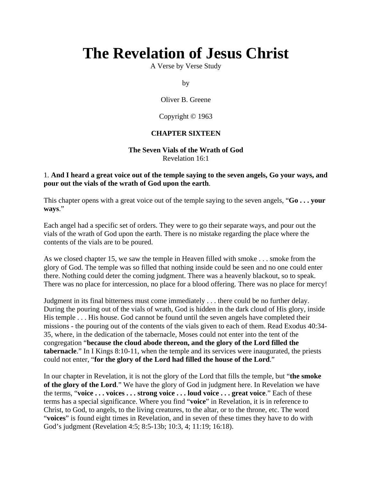# **The Revelation of Jesus Christ**

A Verse by Verse Study

by

Oliver B. Greene

Copyright © 1963

# **CHAPTER SIXTEEN**

**The Seven Vials of the Wrath of God** Revelation 16:1

## 1. **And I heard a great voice out of the temple saying to the seven angels, Go your ways, and pour out the vials of the wrath of God upon the earth**.

This chapter opens with a great voice out of the temple saying to the seven angels, "**Go . . . your ways**."

Each angel had a specific set of orders. They were to go their separate ways, and pour out the vials of the wrath of God upon the earth. There is no mistake regarding the place where the contents of the vials are to be poured.

As we closed chapter 15, we saw the temple in Heaven filled with smoke . . . smoke from the glory of God. The temple was so filled that nothing inside could be seen and no one could enter there. Nothing could deter the coming judgment. There was a heavenly blackout, so to speak. There was no place for intercession, no place for a blood offering. There was no place for mercy!

Judgment in its final bitterness must come immediately . . . there could be no further delay. During the pouring out of the vials of wrath, God is hidden in the dark cloud of His glory, inside His temple . . . His house. God cannot be found until the seven angels have completed their missions - the pouring out of the contents of the vials given to each of them. Read Exodus 40:34- 35, where, in the dedication of the tabernacle, Moses could not enter into the tent of the congregation "**because the cloud abode thereon, and the glory of the Lord filled the tabernacle**." In I Kings 8:10-11, when the temple and its services were inaugurated, the priests could not enter, "**for the glory of the Lord had filled the house of the Lord**."

In our chapter in Revelation, it is not the glory of the Lord that fills the temple, but "**the smoke of the glory of the Lord**." We have the glory of God in judgment here. In Revelation we have the terms, "**voice . . . voices . . . strong voice . . . loud voice . . . great voice**." Each of these terms has a special significance. Where you find "**voice**" in Revelation, it is in reference to Christ, to God, to angels, to the living creatures, to the altar, or to the throne, etc. The word "**voices**" is found eight times in Revelation, and in seven of these times they have to do with God's judgment (Revelation 4:5; 8:5-13b; 10:3, 4; 11:19; 16:18).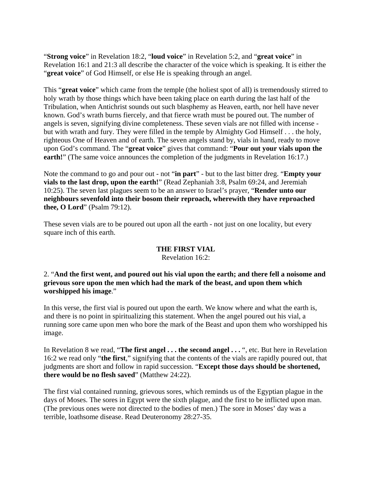"**Strong voice**" in Revelation 18:2, "**loud voice**" in Revelation 5:2, and "**great voice**" in Revelation 16:1 and 21:3 all describe the character of the voice which is speaking. It is either the "**great voice**" of God Himself, or else He is speaking through an angel.

This "**great voice**" which came from the temple (the holiest spot of all) is tremendously stirred to holy wrath by those things which have been taking place on earth during the last half of the Tribulation, when Antichrist sounds out such blasphemy as Heaven, earth, nor hell have never known. God's wrath burns fiercely, and that fierce wrath must be poured out. The number of angels is seven, signifying divine completeness. These seven vials are not filled with incense but with wrath and fury. They were filled in the temple by Almighty God Himself . . . the holy, righteous One of Heaven and of earth. The seven angels stand by, vials in hand, ready to move upon God's command. The "**great voice**" gives that command: "**Pour out your vials upon the earth!**" (The same voice announces the completion of the judgments in Revelation 16:17.)

Note the command to go and pour out - not "**in part**" - but to the last bitter dreg. "**Empty your vials to the last drop, upon the earth!**" (Read Zephaniah 3:8, Psalm 69:24, and Jeremiah 10:25). The seven last plagues seem to be an answer to Israel's prayer, "**Render unto our neighbours sevenfold into their bosom their reproach, wherewith they have reproached thee, O Lord**" (Psalm 79:12).

These seven vials are to be poured out upon all the earth - not just on one locality, but every square inch of this earth.

## **THE FIRST VIAL**

## Revelation 16:2:

## 2. "**And the first went, and poured out his vial upon the earth; and there fell a noisome and grievous sore upon the men which had the mark of the beast, and upon them which worshipped his image**."

In this verse, the first vial is poured out upon the earth. We know where and what the earth is, and there is no point in spiritualizing this statement. When the angel poured out his vial, a running sore came upon men who bore the mark of the Beast and upon them who worshipped his image.

In Revelation 8 we read, "**The first angel . . . the second angel . . .** ", etc. But here in Revelation 16:2 we read only "**the first**," signifying that the contents of the vials are rapidly poured out, that judgments are short and follow in rapid succession. "**Except those days should be shortened, there would be no flesh saved**" (Matthew 24:22).

The first vial contained running, grievous sores, which reminds us of the Egyptian plague in the days of Moses. The sores in Egypt were the sixth plague, and the first to be inflicted upon man. (The previous ones were not directed to the bodies of men.) The sore in Moses' day was a terrible, loathsome disease. Read Deuteronomy 28:27-35.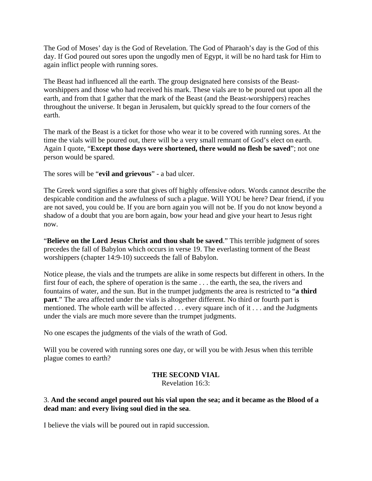The God of Moses' day is the God of Revelation. The God of Pharaoh's day is the God of this day. If God poured out sores upon the ungodly men of Egypt, it will be no hard task for Him to again inflict people with running sores.

The Beast had influenced all the earth. The group designated here consists of the Beastworshippers and those who had received his mark. These vials are to be poured out upon all the earth, and from that I gather that the mark of the Beast (and the Beast-worshippers) reaches throughout the universe. It began in Jerusalem, but quickly spread to the four corners of the earth.

The mark of the Beast is a ticket for those who wear it to be covered with running sores. At the time the vials will be poured out, there will be a very small remnant of God's elect on earth. Again I quote, "**Except those days were shortened, there would no flesh be saved**"; not one person would be spared.

The sores will be "**evil and grievous**" - a bad ulcer.

The Greek word signifies a sore that gives off highly offensive odors. Words cannot describe the despicable condition and the awfulness of such a plague. Will YOU be here? Dear friend, if you are not saved, you could be. If you are born again you will not be. If you do not know beyond a shadow of a doubt that you are born again, bow your head and give your heart to Jesus right now.

"**Believe on the Lord Jesus Christ and thou shalt be saved**." This terrible judgment of sores precedes the fall of Babylon which occurs in verse 19. The everlasting torment of the Beast worshippers (chapter 14:9-10) succeeds the fall of Babylon.

Notice please, the vials and the trumpets are alike in some respects but different in others. In the first four of each, the sphere of operation is the same . . . the earth, the sea, the rivers and fountains of water, and the sun. But in the trumpet judgments the area is restricted to "**a third part**." The area affected under the vials is altogether different. No third or fourth part is mentioned. The whole earth will be affected . . . every square inch of it . . . and the Judgments under the vials are much more severe than the trumpet judgments.

No one escapes the judgments of the vials of the wrath of God.

Will you be covered with running sores one day, or will you be with Jesus when this terrible plague comes to earth?

# **THE SECOND VIAL**

Revelation 16:3:

# 3. **And the second angel poured out his vial upon the sea; and it became as the Blood of a dead man: and every living soul died in the sea**.

I believe the vials will be poured out in rapid succession.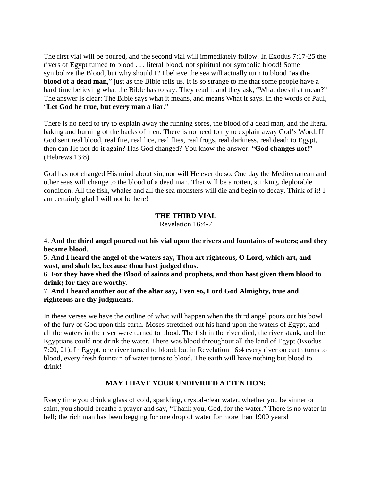The first vial will be poured, and the second vial will immediately follow. In Exodus 7:17-25 the rivers of Egypt turned to blood . . . literal blood, not spiritual nor symbolic blood! Some symbolize the Blood, but why should I? I believe the sea will actually turn to blood "**as the blood of a dead man**," just as the Bible tells us. It is so strange to me that some people have a hard time believing what the Bible has to say. They read it and they ask, "What does that mean?" The answer is clear: The Bible says what it means, and means What it says. In the words of Paul, "**Let God be true, but every man a liar**."

There is no need to try to explain away the running sores, the blood of a dead man, and the literal baking and burning of the backs of men. There is no need to try to explain away God's Word. If God sent real blood, real fire, real lice, real flies, real frogs, real darkness, real death to Egypt, then can He not do it again? Has God changed? You know the answer: "**God changes not!**" (Hebrews 13:8).

God has not changed His mind about sin, nor will He ever do so. One day the Mediterranean and other seas will change to the blood of a dead man. That will be a rotten, stinking, deplorable condition. All the fish, whales and all the sea monsters will die and begin to decay. Think of it! I am certainly glad I will not be here!

## **THE THIRD VIAL**

Revelation 16:4-7

4. **And the third angel poured out his vial upon the rivers and fountains of waters; and they became blood**.

5. **And I heard the angel of the waters say, Thou art righteous, O Lord, which art, and wast, and shalt be, because thou hast judged thus**.

6. **For they have shed the Blood of saints and prophets, and thou hast given them blood to drink; for they are worthy**.

7. **And I heard another out of the altar say, Even so, Lord God Almighty, true and righteous are thy judgments**.

In these verses we have the outline of what will happen when the third angel pours out his bowl of the fury of God upon this earth. Moses stretched out his hand upon the waters of Egypt, and all the waters in the river were turned to blood. The fish in the river died, the river stank, and the Egyptians could not drink the water. There was blood throughout all the land of Egypt (Exodus 7:20, 21). In Egypt, one river turned to blood; but in Revelation 16:4 every river on earth turns to blood, every fresh fountain of water turns to blood. The earth will have nothing but blood to drink!

## **MAY I HAVE YOUR UNDIVIDED ATTENTION:**

Every time you drink a glass of cold, sparkling, crystal-clear water, whether you be sinner or saint, you should breathe a prayer and say, "Thank you, God, for the water." There is no water in hell; the rich man has been begging for one drop of water for more than 1900 years!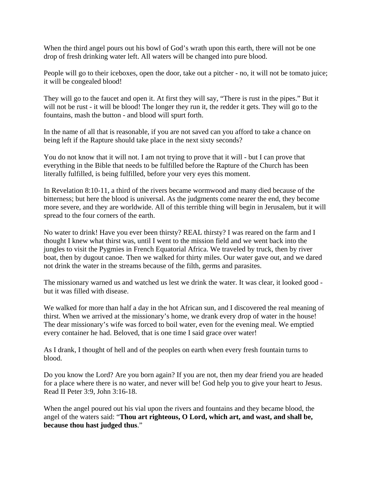When the third angel pours out his bowl of God's wrath upon this earth, there will not be one drop of fresh drinking water left. All waters will be changed into pure blood.

People will go to their iceboxes, open the door, take out a pitcher - no, it will not be tomato juice; it will be congealed blood!

They will go to the faucet and open it. At first they will say, "There is rust in the pipes." But it will not be rust - it will be blood! The longer they run it, the redder it gets. They will go to the fountains, mash the button - and blood will spurt forth.

In the name of all that is reasonable, if you are not saved can you afford to take a chance on being left if the Rapture should take place in the next sixty seconds?

You do not know that it will not. I am not trying to prove that it will - but I can prove that everything in the Bible that needs to be fulfilled before the Rapture of the Church has been literally fulfilled, is being fulfilled, before your very eyes this moment.

In Revelation 8:10-11, a third of the rivers became wormwood and many died because of the bitterness; but here the blood is universal. As the judgments come nearer the end, they become more severe, and they are worldwide. All of this terrible thing will begin in Jerusalem, but it will spread to the four corners of the earth.

No water to drink! Have you ever been thirsty? REAL thirsty? I was reared on the farm and I thought I knew what thirst was, until I went to the mission field and we went back into the jungles to visit the Pygmies in French Equatorial Africa. We traveled by truck, then by river boat, then by dugout canoe. Then we walked for thirty miles. Our water gave out, and we dared not drink the water in the streams because of the filth, germs and parasites.

The missionary warned us and watched us lest we drink the water. It was clear, it looked good but it was filled with disease.

We walked for more than half a day in the hot African sun, and I discovered the real meaning of thirst. When we arrived at the missionary's home, we drank every drop of water in the house! The dear missionary's wife was forced to boil water, even for the evening meal. We emptied every container he had. Beloved, that is one time I said grace over water!

As I drank, I thought of hell and of the peoples on earth when every fresh fountain turns to blood.

Do you know the Lord? Are you born again? If you are not, then my dear friend you are headed for a place where there is no water, and never will be! God help you to give your heart to Jesus. Read II Peter 3:9, John 3:16-18.

When the angel poured out his vial upon the rivers and fountains and they became blood, the angel of the waters said: "**Thou art righteous, O Lord, which art, and wast, and shall be, because thou hast judged thus**."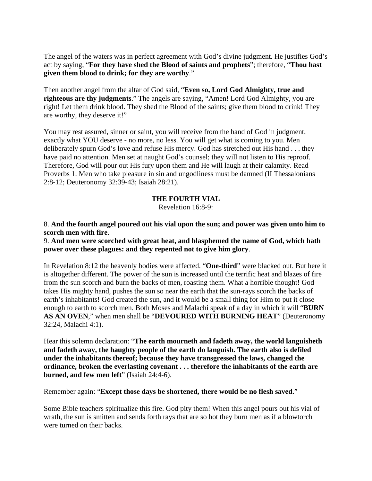The angel of the waters was in perfect agreement with God's divine judgment. He justifies God's act by saying, "**For they have shed the Blood of saints and prophets**"; therefore, "**Thou hast given them blood to drink; for they are worthy**."

Then another angel from the altar of God said, "**Even so, Lord God Almighty, true and righteous are thy judgments**." The angels are saying, "Amen! Lord God Almighty, you are right! Let them drink blood. They shed the Blood of the saints; give them blood to drink! They are worthy, they deserve it!"

You may rest assured, sinner or saint, you will receive from the hand of God in judgment, exactly what YOU deserve - no more, no less. You will get what is coming to you. Men deliberately spurn God's love and refuse His mercy. God has stretched out His hand . . . they have paid no attention. Men set at naught God's counsel; they will not listen to His reproof. Therefore, God will pour out His fury upon them and He will laugh at their calamity. Read Proverbs 1. Men who take pleasure in sin and ungodliness must be damned (II Thessalonians 2:8-12; Deuteronomy 32:39-43; Isaiah 28:21).

# **THE FOURTH VIAL**

Revelation 16:8-9:

8. **And the fourth angel poured out his vial upon the sun; and power was given unto him to scorch men with fire**.

## 9. **And men were scorched with great heat, and blasphemed the name of God, which hath power over these plagues: and they repented not to give him glory**.

In Revelation 8:12 the heavenly bodies were affected. "**One-third**" were blacked out. But here it is altogether different. The power of the sun is increased until the terrific heat and blazes of fire from the sun scorch and burn the backs of men, roasting them. What a horrible thought! God takes His mighty hand, pushes the sun so near the earth that the sun-rays scorch the backs of earth's inhabitants! God created the sun, and it would be a small thing for Him to put it close enough to earth to scorch men. Both Moses and Malachi speak of a day in which it will "**BURN AS AN OVEN**," when men shall be "**DEVOURED WITH BURNING HEAT**" (Deuteronomy 32:24, Malachi 4:1).

Hear this solemn declaration: "**The earth mourneth and fadeth away, the world languisheth and fadeth away, the haughty people of the earth do languish. The earth also is defiled under the inhabitants thereof; because they have transgressed the laws, changed the ordinance, broken the everlasting covenant . . . therefore the inhabitants of the earth are burned, and few men left**" (Isaiah 24:4-6).

Remember again: "**Except those days be shortened, there would be no flesh saved**."

Some Bible teachers spiritualize this fire. God pity them! When this angel pours out his vial of wrath, the sun is smitten and sends forth rays that are so hot they burn men as if a blowtorch were turned on their backs.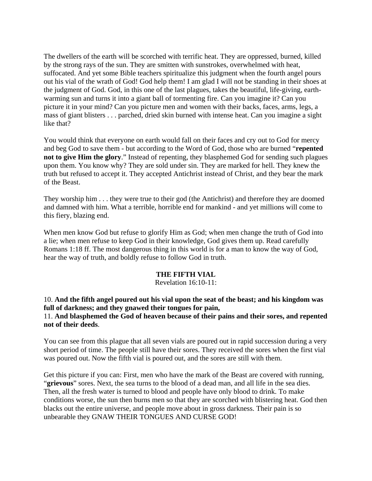The dwellers of the earth will be scorched with terrific heat. They are oppressed, burned, killed by the strong rays of the sun. They are smitten with sunstrokes, overwhelmed with heat, suffocated. And yet some Bible teachers spiritualize this judgment when the fourth angel pours out his vial of the wrath of God! God help them! I am glad I will not be standing in their shoes at the judgment of God. God, in this one of the last plagues, takes the beautiful, life-giving, earthwarming sun and turns it into a giant ball of tormenting fire. Can you imagine it? Can you picture it in your mind? Can you picture men and women with their backs, faces, arms, legs, a mass of giant blisters . . . parched, dried skin burned with intense heat. Can you imagine a sight like that?

You would think that everyone on earth would fall on their faces and cry out to God for mercy and beg God to save them - but according to the Word of God, those who are burned "**repented not to give Him the glory**." Instead of repenting, they blasphemed God for sending such plagues upon them. You know why? They are sold under sin. They are marked for hell. They knew the truth but refused to accept it. They accepted Antichrist instead of Christ, and they bear the mark of the Beast.

They worship him . . . they were true to their god (the Antichrist) and therefore they are doomed and damned with him. What a terrible, horrible end for mankind - and yet millions will come to this fiery, blazing end.

When men know God but refuse to glorify Him as God; when men change the truth of God into a lie; when men refuse to keep God in their knowledge, God gives them up. Read carefully Romans 1:18 ff. The most dangerous thing in this world is for a man to know the way of God, hear the way of truth, and boldly refuse to follow God in truth.

## **THE FIFTH VIAL**

Revelation 16:10-11:

10. **And the fifth angel poured out his vial upon the seat of the beast; and his kingdom was full of darkness; and they gnawed their tongues for pain,** 11. **And blasphemed the God of heaven because of their pains and their sores, and repented** 

**not of their deeds**.

You can see from this plague that all seven vials are poured out in rapid succession during a very short period of time. The people still have their sores. They received the sores when the first vial was poured out. Now the fifth vial is poured out, and the sores are still with them.

Get this picture if you can: First, men who have the mark of the Beast are covered with running, "**grievous**" sores. Next, the sea turns to the blood of a dead man, and all life in the sea dies. Then, all the fresh water is turned to blood and people have only blood to drink. To make conditions worse, the sun then burns men so that they are scorched with blistering heat. God then blacks out the entire universe, and people move about in gross darkness. Their pain is so unbearable they GNAW THEIR TONGUES AND CURSE GOD!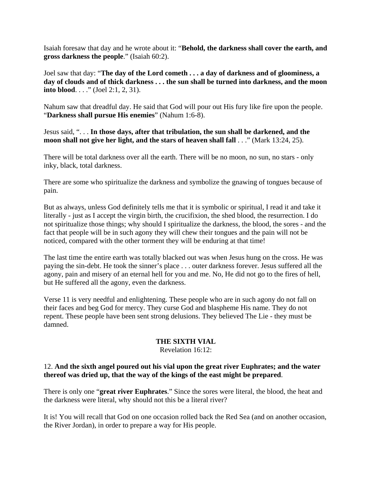Isaiah foresaw that day and he wrote about it: "**Behold, the darkness shall cover the earth, and gross darkness the people**." (Isaiah 60:2).

Joel saw that day: "**The day of the Lord cometh . . . a day of darkness and of gloominess, a day of clouds and of thick darkness . . . the sun shall be turned into darkness, and the moon into blood**. . . ." (Joel 2:1, 2, 31).

Nahum saw that dreadful day. He said that God will pour out His fury like fire upon the people. "**Darkness shall pursue His enemies**" (Nahum 1:6-8).

Jesus said, ". . . **In those days, after that tribulation, the sun shall be darkened, and the moon shall not give her light, and the stars of heaven shall fall** . . ." (Mark 13:24, 25).

There will be total darkness over all the earth. There will be no moon, no sun, no stars - only inky, black, total darkness.

There are some who spiritualize the darkness and symbolize the gnawing of tongues because of pain.

But as always, unless God definitely tells me that it is symbolic or spiritual, I read it and take it literally - just as I accept the virgin birth, the crucifixion, the shed blood, the resurrection. I do not spiritualize those things; why should I spiritualize the darkness, the blood, the sores - and the fact that people will be in such agony they will chew their tongues and the pain will not be noticed, compared with the other torment they will be enduring at that time!

The last time the entire earth was totally blacked out was when Jesus hung on the cross. He was paying the sin-debt. He took the sinner's place . . . outer darkness forever. Jesus suffered all the agony, pain and misery of an eternal hell for you and me. No, He did not go to the fires of hell, but He suffered all the agony, even the darkness.

Verse 11 is very needful and enlightening. These people who are in such agony do not fall on their faces and beg God for mercy. They curse God and blaspheme His name. They do not repent. These people have been sent strong delusions. They believed The Lie - they must be damned.

# **THE SIXTH VIAL**

Revelation 16:12:

## 12. **And the sixth angel poured out his vial upon the great river Euphrates; and the water thereof was dried up, that the way of the kings of the east might be prepared**.

There is only one "**great river Euphrates**." Since the sores were literal, the blood, the heat and the darkness were literal, why should not this be a literal river?

It is! You will recall that God on one occasion rolled back the Red Sea (and on another occasion, the River Jordan), in order to prepare a way for His people.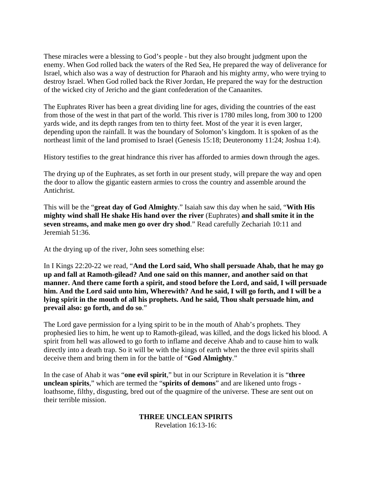These miracles were a blessing to God's people - but they also brought judgment upon the enemy. When God rolled back the waters of the Red Sea, He prepared the way of deliverance for Israel, which also was a way of destruction for Pharaoh and his mighty army, who were trying to destroy Israel. When God rolled back the River Jordan, He prepared the way for the destruction of the wicked city of Jericho and the giant confederation of the Canaanites.

The Euphrates River has been a great dividing line for ages, dividing the countries of the east from those of the west in that part of the world. This river is 1780 miles long, from 300 to 1200 yards wide, and its depth ranges from ten to thirty feet. Most of the year it is even larger, depending upon the rainfall. It was the boundary of Solomon's kingdom. It is spoken of as the northeast limit of the land promised to Israel (Genesis 15:18; Deuteronomy 11:24; Joshua 1:4).

History testifies to the great hindrance this river has afforded to armies down through the ages.

The drying up of the Euphrates, as set forth in our present study, will prepare the way and open the door to allow the gigantic eastern armies to cross the country and assemble around the Antichrist.

This will be the "**great day of God Almighty**." Isaiah saw this day when he said, "**With His mighty wind shall He shake His hand over the river** (Euphrates) **and shall smite it in the seven streams, and make men go over dry shod**." Read carefully Zechariah 10:11 and Jeremiah 51:36.

At the drying up of the river, John sees something else:

In I Kings 22:20-22 we read, "**And the Lord said, Who shall persuade Ahab, that he may go up and fall at Ramoth-gilead? And one said on this manner, and another said on that manner. And there came forth a spirit, and stood before the Lord, and said, I will persuade him. And the Lord said unto him, Wherewith? And he said, I will go forth, and I will be a lying spirit in the mouth of all his prophets. And he said, Thou shalt persuade him, and prevail also: go forth, and do so**."

The Lord gave permission for a lying spirit to be in the mouth of Ahab's prophets. They prophesied lies to him, he went up to Ramoth-gilead, was killed, and the dogs licked his blood. A spirit from hell was allowed to go forth to inflame and deceive Ahab and to cause him to walk directly into a death trap. So it will be with the kings of earth when the three evil spirits shall deceive them and bring them in for the battle of "**God Almighty**."

In the case of Ahab it was "**one evil spirit**," but in our Scripture in Revelation it is "**three unclean spirits**," which are termed the "**spirits of demons**" and are likened unto frogs loathsome, filthy, disgusting, bred out of the quagmire of the universe. These are sent out on their terrible mission.

## **THREE UNCLEAN SPIRITS**

Revelation 16:13-16: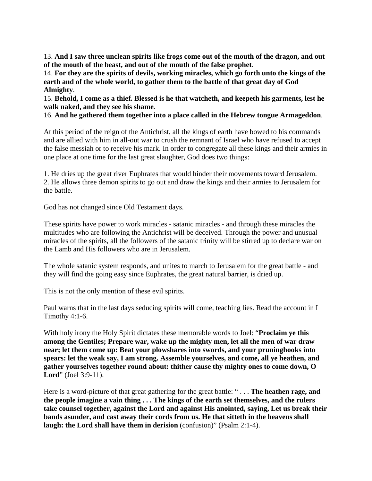13. **And I saw three unclean spirits like frogs come out of the mouth of the dragon, and out of the mouth of the beast, and out of the mouth of the false prophet**.

14. **For they are the spirits of devils, working miracles, which go forth unto the kings of the earth and of the whole world, to gather them to the battle of that great day of God Almighty**.

15. **Behold, I come as a thief. Blessed is he that watcheth, and keepeth his garments, lest he walk naked, and they see his shame**.

16. **And he gathered them together into a place called in the Hebrew tongue Armageddon**.

At this period of the reign of the Antichrist, all the kings of earth have bowed to his commands and are allied with him in all-out war to crush the remnant of Israel who have refused to accept the false messiah or to receive his mark. In order to congregate all these kings and their armies in one place at one time for the last great slaughter, God does two things:

1. He dries up the great river Euphrates that would hinder their movements toward Jerusalem. 2. He allows three demon spirits to go out and draw the kings and their armies to Jerusalem for the battle.

God has not changed since Old Testament days.

These spirits have power to work miracles - satanic miracles - and through these miracles the multitudes who are following the Antichrist will be deceived. Through the power and unusual miracles of the spirits, all the followers of the satanic trinity will be stirred up to declare war on the Lamb and His followers who are in Jerusalem.

The whole satanic system responds, and unites to march to Jerusalem for the great battle - and they will find the going easy since Euphrates, the great natural barrier, is dried up.

This is not the only mention of these evil spirits.

Paul warns that in the last days seducing spirits will come, teaching lies. Read the account in I Timothy 4:1-6.

With holy irony the Holy Spirit dictates these memorable words to Joel: "**Proclaim ye this among the Gentiles; Prepare war, wake up the mighty men, let all the men of war draw near; let them come up: Beat your plowshares into swords, and your pruninghooks into spears: let the weak say, I am strong. Assemble yourselves, and come, all ye heathen, and gather yourselves together round about: thither cause thy mighty ones to come down, O Lord**" (Joel 3:9-11).

Here is a word-picture of that great gathering for the great battle: "... **The heathen rage, and the people imagine a vain thing . . . The kings of the earth set themselves, and the rulers take counsel together, against the Lord and against His anointed, saying, Let us break their bands asunder, and cast away their cords from us. He that sitteth in the heavens shall laugh: the Lord shall have them in derision** (confusion)" (Psalm 2:1-4).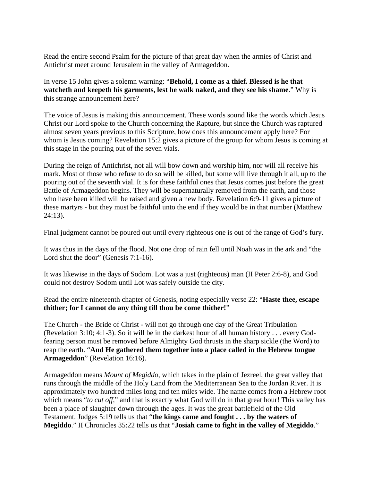Read the entire second Psalm for the picture of that great day when the armies of Christ and Antichrist meet around Jerusalem in the valley of Armageddon.

In verse 15 John gives a solemn warning: "**Behold, I come as a thief. Blessed is he that watcheth and keepeth his garments, lest he walk naked, and they see his shame**." Why is this strange announcement here?

The voice of Jesus is making this announcement. These words sound like the words which Jesus Christ our Lord spoke to the Church concerning the Rapture, but since the Church was raptured almost seven years previous to this Scripture, how does this announcement apply here? For whom is Jesus coming? Revelation 15:2 gives a picture of the group for whom Jesus is coming at this stage in the pouring out of the seven vials.

During the reign of Antichrist, not all will bow down and worship him, nor will all receive his mark. Most of those who refuse to do so will be killed, but some will live through it all, up to the pouring out of the seventh vial. It is for these faithful ones that Jesus comes just before the great Battle of Armageddon begins. They will be supernaturally removed from the earth, and those who have been killed will be raised and given a new body. Revelation 6:9-11 gives a picture of these martyrs - but they must be faithful unto the end if they would be in that number (Matthew 24:13).

Final judgment cannot be poured out until every righteous one is out of the range of God's fury.

It was thus in the days of the flood. Not one drop of rain fell until Noah was in the ark and "the Lord shut the door" (Genesis 7:1-16).

It was likewise in the days of Sodom. Lot was a just (righteous) man (II Peter 2:6-8), and God could not destroy Sodom until Lot was safely outside the city.

Read the entire nineteenth chapter of Genesis, noting especially verse 22: "**Haste thee, escape thither; for I cannot do any thing till thou be come thither!**"

The Church - the Bride of Christ - will not go through one day of the Great Tribulation (Revelation 3:10; 4:1-3). So it will be in the darkest hour of all human history . . . every Godfearing person must be removed before Almighty God thrusts in the sharp sickle (the Word) to reap the earth. "**And He gathered them together into a place called in the Hebrew tongue Armageddon**" (Revelation 16:16).

Armageddon means *Mount of Megiddo*, which takes in the plain of Jezreel, the great valley that runs through the middle of the Holy Land from the Mediterranean Sea to the Jordan River. It is approximately two hundred miles long and ten miles wide. The name comes from a Hebrew root which means "*to cut off*," and that is exactly what God will do in that great hour! This valley has been a place of slaughter down through the ages. It was the great battlefield of the Old Testament. Judges 5:19 tells us that "**the kings came and fought . . . by the waters of Megiddo**." II Chronicles 35:22 tells us that "**Josiah came to fight in the valley of Megiddo**."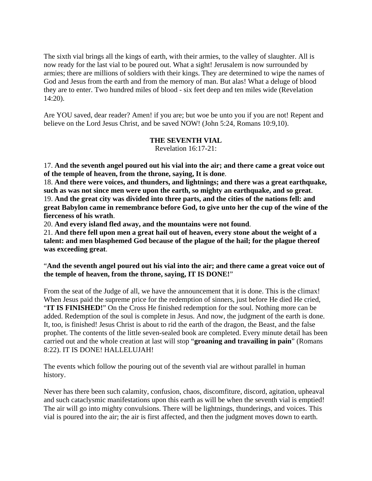The sixth vial brings all the kings of earth, with their armies, to the valley of slaughter. All is now ready for the last vial to be poured out. What a sight! Jerusalem is now surrounded by armies; there are millions of soldiers with their kings. They are determined to wipe the names of God and Jesus from the earth and from the memory of man. But alas! What a deluge of blood they are to enter. Two hundred miles of blood - six feet deep and ten miles wide (Revelation 14:20).

Are YOU saved, dear reader? Amen! if you are; but woe be unto you if you are not! Repent and believe on the Lord Jesus Christ, and be saved NOW! (John 5:24, Romans 10:9,10).

## **THE SEVENTH VIAL**

Revelation 16:17-21:

17. **And the seventh angel poured out his vial into the air; and there came a great voice out of the temple of heaven, from the throne, saying, It is done**.

18. **And there were voices, and thunders, and lightnings; and there was a great earthquake, such as was not since men were upon the earth, so mighty an earthquake, and so great**. 19. **And the great city was divided into three parts, and the cities of the nations fell: and great Babylon came in remembrance before God, to give unto her the cup of the wine of the fierceness of his wrath**.

20. **And every island fled away, and the mountains were not found**.

21. **And there fell upon men a great hail out of heaven, every stone about the weight of a talent: and men blasphemed God because of the plague of the hail; for the plague thereof was exceeding great**.

## "**And the seventh angel poured out his vial into the air; and there came a great voice out of the temple of heaven, from the throne, saying, IT IS DONE!**"

From the seat of the Judge of all, we have the announcement that it is done. This is the climax! When Jesus paid the supreme price for the redemption of sinners, just before He died He cried, "**IT IS FINISHED!**" On the Cross He finished redemption for the soul. Nothing more can be added. Redemption of the soul is complete in Jesus. And now, the judgment of the earth is done. It, too, is finished! Jesus Christ is about to rid the earth of the dragon, the Beast, and the false prophet. The contents of the little seven-sealed book are completed. Every minute detail has been carried out and the whole creation at last will stop "**groaning and travailing in pain**" (Romans 8:22). IT IS DONE! HALLELUJAH!

The events which follow the pouring out of the seventh vial are without parallel in human history.

Never has there been such calamity, confusion, chaos, discomfiture, discord, agitation, upheaval and such cataclysmic manifestations upon this earth as will be when the seventh vial is emptied! The air will go into mighty convulsions. There will be lightnings, thunderings, and voices. This vial is poured into the air; the air is first affected, and then the judgment moves down to earth.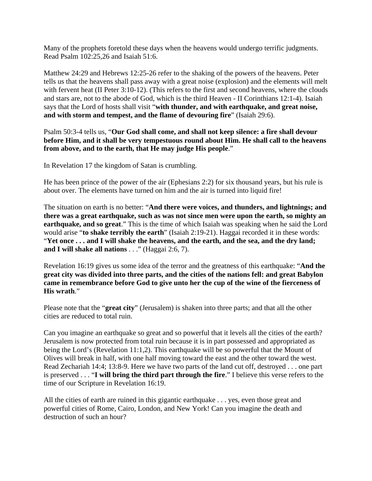Many of the prophets foretold these days when the heavens would undergo terrific judgments. Read Psalm 102:25,26 and Isaiah 51:6.

Matthew 24:29 and Hebrews 12:25-26 refer to the shaking of the powers of the heavens. Peter tells us that the heavens shall pass away with a great noise (explosion) and the elements will melt with fervent heat (II Peter 3:10-12). (This refers to the first and second heavens, where the clouds and stars are, not to the abode of God, which is the third Heaven - II Corinthians 12:1-4). Isaiah says that the Lord of hosts shall visit "**with thunder, and with earthquake, and great noise, and with storm and tempest, and the flame of devouring fire**" (Isaiah 29:6).

Psalm 50:3-4 tells us, "**Our God shall come, and shall not keep silence: a fire shall devour before Him, and it shall be very tempestuous round about Him. He shall call to the heavens from above, and to the earth, that He may judge His people**."

In Revelation 17 the kingdom of Satan is crumbling.

He has been prince of the power of the air (Ephesians 2:2) for six thousand years, but his rule is about over. The elements have turned on him and the air is turned into liquid fire!

The situation on earth is no better: "**And there were voices, and thunders, and lightnings; and there was a great earthquake, such as was not since men were upon the earth, so mighty an earthquake, and so great**." This is the time of which Isaiah was speaking when he said the Lord would arise "**to shake terribly the earth**" (Isaiah 2:19-21). Haggai recorded it in these words: "**Yet once . . . and I will shake the heavens, and the earth, and the sea, and the dry land; and I will shake all nations** . . ." (Haggai 2:6, 7).

Revelation 16:19 gives us some idea of the terror and the greatness of this earthquake: "**And the great city was divided into three parts, and the cities of the nations fell: and great Babylon came in remembrance before God to give unto her the cup of the wine of the fierceness of His wrath**."

Please note that the "**great city**" (Jerusalem) is shaken into three parts; and that all the other cities are reduced to total ruin.

Can you imagine an earthquake so great and so powerful that it levels all the cities of the earth? Jerusalem is now protected from total ruin because it is in part possessed and appropriated as being the Lord's (Revelation 11:1,2). This earthquake will be so powerful that the Mount of Olives will break in half, with one half moving toward the east and the other toward the west. Read Zechariah 14:4; 13:8-9. Here we have two parts of the land cut off, destroyed . . . one part is preserved . . . "**I will bring the third part through the fire**." I believe this verse refers to the time of our Scripture in Revelation 16:19.

All the cities of earth are ruined in this gigantic earthquake . . . yes, even those great and powerful cities of Rome, Cairo, London, and New York! Can you imagine the death and destruction of such an hour?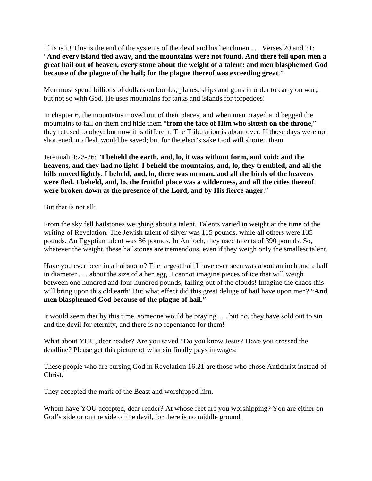This is it! This is the end of the systems of the devil and his henchmen . . . Verses 20 and 21: "**And every island fled away, and the mountains were not found. And there fell upon men a great hail out of heaven, every stone about the weight of a talent: and men blasphemed God because of the plague of the hail; for the plague thereof was exceeding great**."

Men must spend billions of dollars on bombs, planes, ships and guns in order to carry on war;. but not so with God. He uses mountains for tanks and islands for torpedoes!

In chapter 6, the mountains moved out of their places, and when men prayed and begged the mountains to fall on them and hide them "**from the face of Him who sitteth on the throne**," they refused to obey; but now it is different. The Tribulation is about over. If those days were not shortened, no flesh would be saved; but for the elect's sake God will shorten them.

Jeremiah 4:23-26: "**I beheld the earth, and, lo, it was without form, and void; and the heavens, and they had no light. I beheld the mountains, and, lo, they trembled, and all the hills moved lightly. I beheld, and, lo, there was no man, and all the birds of the heavens were fled. I beheld, and, lo, the fruitful place was a wilderness, and all the cities thereof were broken down at the presence of the Lord, and by His fierce anger**."

But that is not all:

From the sky fell hailstones weighing about a talent. Talents varied in weight at the time of the writing of Revelation. The Jewish talent of silver was 115 pounds, while all others were 135 pounds. An Egyptian talent was 86 pounds. In Antioch, they used talents of 390 pounds. So, whatever the weight, these hailstones are tremendous, even if they weigh only the smallest talent.

Have you ever been in a hailstorm? The largest hail I have ever seen was about an inch and a half in diameter . . . about the size of a hen egg. I cannot imagine pieces of ice that will weigh between one hundred and four hundred pounds, falling out of the clouds! Imagine the chaos this will bring upon this old earth! But what effect did this great deluge of hail have upon men? "**And men blasphemed God because of the plague of hail**."

It would seem that by this time, someone would be praying . . . but no, they have sold out to sin and the devil for eternity, and there is no repentance for them!

What about YOU, dear reader? Are you saved? Do you know Jesus? Have you crossed the deadline? Please get this picture of what sin finally pays in wages:

These people who are cursing God in Revelation 16:21 are those who chose Antichrist instead of Christ.

They accepted the mark of the Beast and worshipped him.

Whom have YOU accepted, dear reader? At whose feet are you worshipping? You are either on God's side or on the side of the devil, for there is no middle ground.